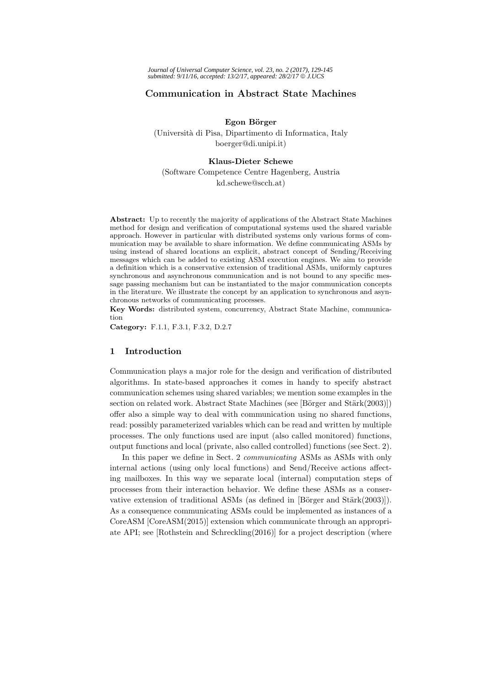# **Communication in Abstract State Machines**

**Egon B¨orger** (Universit`a di Pisa, Dipartimento di Informatica, Italy boerger@di.unipi.it)

# **Klaus-Dieter Schewe**

(Software Competence Centre Hagenberg, Austria kd.schewe@scch.at)

**Abstract:** Up to recently the majority of applications of the Abstract State Machines method for design and verification of computational systems used the shared variable approach. However in particular with distributed systems only various forms of communication may be available to share information. We define communicating ASMs by using instead of shared locations an explicit, abstract concept of Sending/Receiving messages which can be added to existing ASM execution engines. We aim to provide a definition which is a conservative extension of traditional ASMs, uniformly captures synchronous and asynchronous communication and is not bound to any specific message passing mechanism but can be instantiated to the major communication concepts in the literature. We illustrate the concept by an application to synchronous and asynchronous networks of communicating processes.

**Key Words:** distributed system, concurrency, Abstract State Machine, communication

**Category:** F.1.1, F.3.1, F.3.2, D.2.7

# **1 Introduction**

Communication plays a major role for the design and verification of distributed algorithms. In state-based approaches it comes in handy to specify abstract communication schemes using shared variables; we mention some examples in the section on related work. Abstract State Machines (see [Börger and Stärk(2003)]) offer also a simple way to deal with communication using no shared functions, read: possibly parameterized variables which can be read and written by multiple processes. The only functions used are input (also called monitored) functions, output functions and local (private, also called controlled) functions (see Sect. 2).

In this paper we define in Sect. 2 *communicating* ASMs as ASMs with only internal actions (using only local functions) and Send/Receive actions affecting mailboxes. In this way we separate local (internal) computation steps of processes from their interaction behavior. We define these ASMs as a conservative extension of traditional ASMs (as defined in  $[\text{Börger} \text{ and } \text{Stärk}(2003)]$ ). As a consequence communicating ASMs could be implemented as instances of a CoreASM [CoreASM(2015)] extension which communicate through an appropriate API; see [Rothstein and Schreckling(2016)] for a project description (where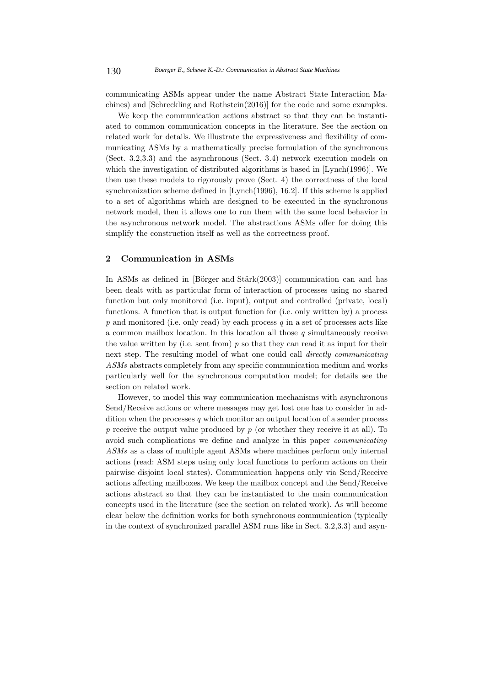communicating ASMs appear under the name Abstract State Interaction Machines) and [Schreckling and Rothstein(2016)] for the code and some examples.

We keep the communication actions abstract so that they can be instantiated to common communication concepts in the literature. See the section on related work for details. We illustrate the expressiveness and flexibility of communicating ASMs by a mathematically precise formulation of the synchronous (Sect. 3.2,3.3) and the asynchronous (Sect. 3.4) network execution models on which the investigation of distributed algorithms is based in [Lynch(1996)]. We then use these models to rigorously prove (Sect. 4) the correctness of the local synchronization scheme defined in [Lynch(1996), 16.2]. If this scheme is applied to a set of algorithms which are designed to be executed in the synchronous network model, then it allows one to run them with the same local behavior in the asynchronous network model. The abstractions ASMs offer for doing this simplify the construction itself as well as the correctness proof.

# **2 Communication in ASMs**

In ASMs as defined in  $[Bi<sub>z</sub>er and Stark(2003)]$  communication can and has been dealt with as particular form of interaction of processes using no shared function but only monitored (i.e. input), output and controlled (private, local) functions. A function that is output function for (i.e. only written by) a process *p* and monitored (i.e. only read) by each process *q* in a set of processes acts like a common mailbox location. In this location all those *q* simultaneously receive the value written by (i.e. sent from) *p* so that they can read it as input for their next step. The resulting model of what one could call *directly communicating ASMs* abstracts completely from any specific communication medium and works particularly well for the synchronous computation model; for details see the section on related work.

However, to model this way communication mechanisms with asynchronous Send/Receive actions or where messages may get lost one has to consider in addition when the processes *q* which monitor an output location of a sender process *p* receive the output value produced by *p* (or whether they receive it at all). To avoid such complications we define and analyze in this paper *communicating ASMs* as a class of multiple agent ASMs where machines perform only internal actions (read: ASM steps using only local functions to perform actions on their pairwise disjoint local states). Communication happens only via Send/Receive actions affecting mailboxes. We keep the mailbox concept and the Send/Receive actions abstract so that they can be instantiated to the main communication concepts used in the literature (see the section on related work). As will become clear below the definition works for both synchronous communication (typically in the context of synchronized parallel ASM runs like in Sect. 3.2,3.3) and asyn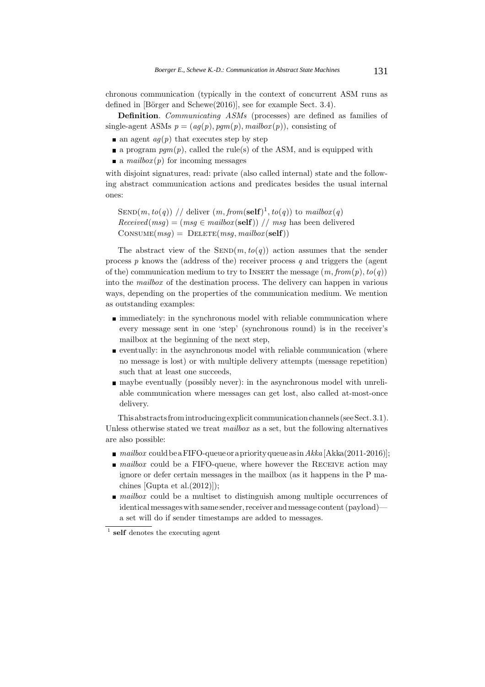chronous communication (typically in the context of concurrent ASM runs as defined in  $[\text{Börger and Schewe}(2016)]$ , see for example Sect. 3.4).

**Definition**. *Communicating ASMs* (processes) are defined as families of single-agent ASMs  $p = (ag(p), pgm(p), mailbox(p))$ , consisting of

- **a** an agent  $aq(p)$  that executes step by step
- a program  $pqm(p)$ , called the rule(s) of the ASM, and is equipped with
- a  $mailbox(p)$  for incoming messages

with disjoint signatures, read: private (also called internal) state and the following abstract communication actions and predicates besides the usual internal ones:

SEND $(m, to(q))$  // deliver  $(m, from(\text{self})^1, to(q))$  to  $mailbox(q)$  $Received(msg) = (msg \in mailbox(\text{self}))$  // *msg* has been delivered  $\text{CONSUME}(msg) = \text{DELETE}(msg, mailbox(\text{self}))$ 

The abstract view of the  $\text{SEND}(m, to(q))$  action assumes that the sender process *p* knows the (address of the) receiver process *q* and triggers the (agent of the) communication medium to try to INSERT the message  $(m, from(p), to(q))$ into the *mailbox* of the destination process. The delivery can happen in various ways, depending on the properties of the communication medium. We mention as outstanding examples:

- $\blacksquare$  immediately: in the synchronous model with reliable communication where every message sent in one 'step' (synchronous round) is in the receiver's mailbox at the beginning of the next step,
- eventually: in the asynchronous model with reliable communication (where no message is lost) or with multiple delivery attempts (message repetition) such that at least one succeeds,
- maybe eventually (possibly never): in the asynchronous model with unreliable communication where messages can get lost, also called at-most-once delivery.

This abstracts fromintroducing explicit communication channels (see Sect. 3.1). Unless otherwise stated we treat *mailbox* as a set, but the following alternatives are also possible:

- *mailbox* could be a FIFO-queue or a priority queue as in Akka [Akka(2011-2016)];
- *mailbox* could be a FIFO-queue, where however the RECEIVE action may ignore or defer certain messages in the mailbox (as it happens in the P machines [Gupta et al.(2012)]);
- *mailbox* could be a multiset to distinguish among multiple occurrences of identical messages with same sender, receiver and message content (payload) a set will do if sender timestamps are added to messages.

<sup>1</sup> **self** denotes the executing agent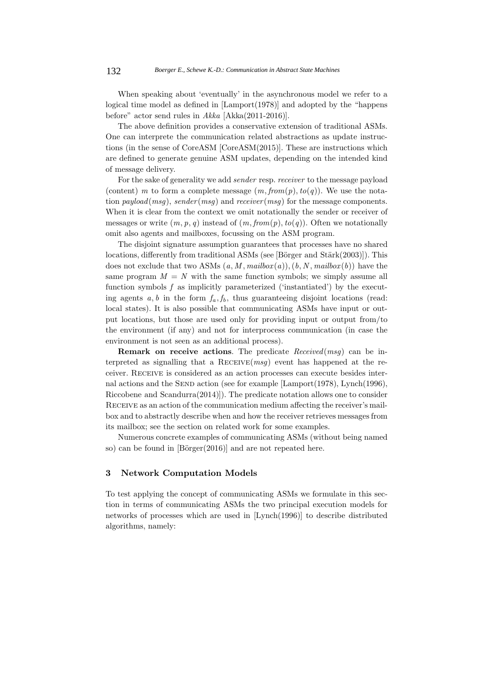When speaking about 'eventually' in the asynchronous model we refer to a logical time model as defined in [Lamport(1978)] and adopted by the "happens before" actor send rules in *Akka* [Akka(2011-2016)].

The above definition provides a conservative extension of traditional ASMs. One can interprete the communication related abstractions as update instructions (in the sense of CoreASM [CoreASM(2015)]. These are instructions which are defined to generate genuine ASM updates, depending on the intended kind of message delivery.

For the sake of generality we add *sender* resp. *receiver* to the message payload (content) *m* to form a complete message  $(m, from(p), to(q))$ . We use the notation *payload*(*msg*), *sender* (*msg*) and *receiver* (*msg*) for the message components. When it is clear from the context we omit notationally the sender or receiver of messages or write  $(m, p, q)$  instead of  $(m, from(p), to(q))$ . Often we notationally omit also agents and mailboxes, focussing on the ASM program.

The disjoint signature assumption guarantees that processes have no shared locations, differently from traditional ASMs (see [Börger and Stärk $(2003)$ ]). This does not exclude that two ASMs  $(a, M, mailbox(a)), (b, N, mailbox(b))$  have the same program  $M = N$  with the same function symbols; we simply assume all function symbols f as implicitly parameterized ('instantiated') by the executing agents  $a, b$  in the form  $f_a, f_b$ , thus guaranteeing disjoint locations (read: local states). It is also possible that communicating ASMs have input or output locations, but those are used only for providing input or output from/to the environment (if any) and not for interprocess communication (in case the environment is not seen as an additional process).

**Remark on receive actions**. The predicate *Received*(*msg*) can be interpreted as signalling that a Receive(*msg*) event has happened at the receiver. Receive is considered as an action processes can execute besides internal actions and the SEND action (see for example [Lamport(1978), Lynch(1996), Riccobene and Scandurra(2014)]). The predicate notation allows one to consider Receive as an action of the communication medium affecting the receiver's mailbox and to abstractly describe when and how the receiver retrieves messages from its mailbox; see the section on related work for some examples.

Numerous concrete examples of communicating ASMs (without being named so) can be found in  $[\text{Börger}(2016)]$  and are not repeated here.

# **3 Network Computation Models**

To test applying the concept of communicating ASMs we formulate in this section in terms of communicating ASMs the two principal execution models for networks of processes which are used in [Lynch(1996)] to describe distributed algorithms, namely: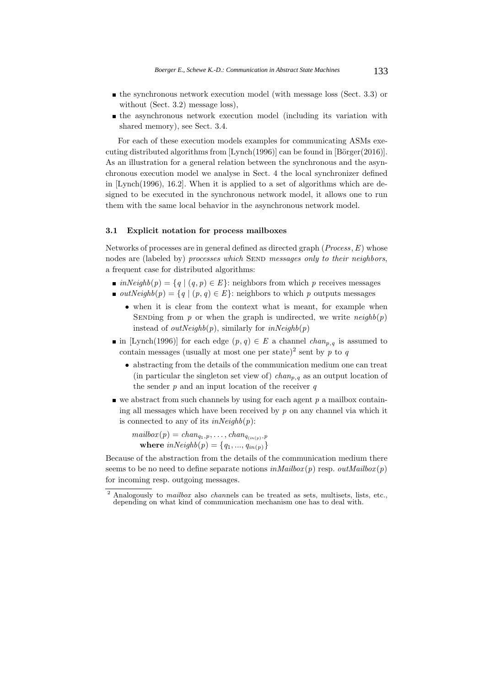- $\blacksquare$  the synchronous network execution model (with message loss (Sect. 3.3) or without (Sect. 3.2) message loss),
- the asynchronous network execution model (including its variation with shared memory), see Sect. 3.4.

For each of these execution models examples for communicating ASMs executing distributed algorithms from  $[Lypch(1996)]$  can be found in  $[Börger(2016)]$ . As an illustration for a general relation between the synchronous and the asynchronous execution model we analyse in Sect. 4 the local synchronizer defined in [Lynch(1996), 16.2]. When it is applied to a set of algorithms which are designed to be executed in the synchronous network model, it allows one to run them with the same local behavior in the asynchronous network model.

#### **3.1 Explicit notation for process mailboxes**

Networks of processes are in general defined as directed graph (*Process*,*E*) whose nodes are (labeled by) *processes which* SEND *messages only to their neighbors*, a frequent case for distributed algorithms:

- *inNeighb* $(p) = \{q | (q, p) \in E\}$ : neighbors from which *p* receives messages
- *outNeighb* $(p) = \{q \mid (p, q) \in E\}$ : neighbors to which *p* outputs messages
	- when it is clear from the context what is meant, for example when SENDing from  $p$  or when the graph is undirected, we write  $neighbour(p)$ instead of  $outNeighbour$ , similarly for  $inNeighbour$
- in [Lynch(1996)] for each edge  $(p, q) \in E$  a channel *chan*<sub>*p*</sub>*,q* is assumed to contain messages (usually at most one per state)<sup>2</sup> sent by  $p$  to  $q$ 
	- abstracting from the details of the communication medium one can treat (in particular the singleton set view of) *chanp,<sup>q</sup>* as an output location of the sender *p* and an input location of the receiver *q*
- $\bullet$  we abstract from such channels by using for each agent  $p$  a mailbox containing all messages which have been received by *p* on any channel via which it is connected to any of its *inNeighb*(*p*):

 $mailbox(p) = chan_{q_1,p}, \ldots, chan_{q_{(in(p),p)}}$ **where**  $inNeighbour(p) = \{q_1, ..., q_{in(p)}\}$ 

Because of the abstraction from the details of the communication medium there seems to be no need to define separate notions  $inMailbox(p)$  resp.  $outMailbox(p)$ for incoming resp. outgoing messages.

<sup>2</sup> Analogously to *mailbox* also *chan*nels can be treated as sets, multisets, lists, etc., depending on what kind of communication mechanism one has to deal with.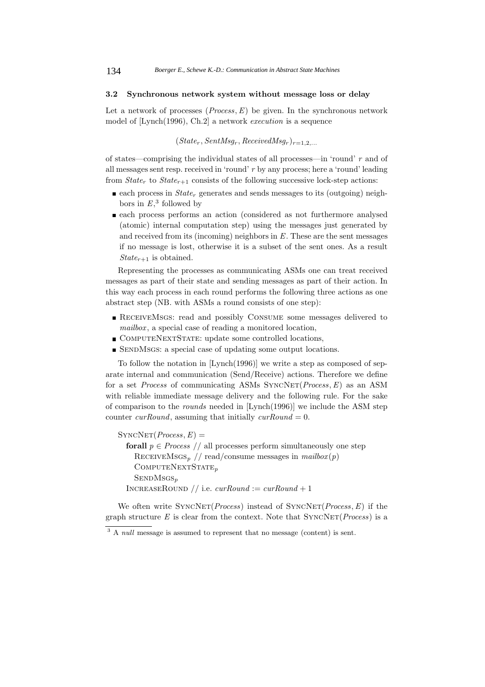#### **3.2 Synchronous network system without message loss or delay**

Let a network of processes (*Process*,*E*) be given. In the synchronous network model of [Lynch(1996), Ch.2] a network *execution* is a sequence

 $(State_r, SentMsg_r, ReceivedMsg_r)_{r=1,2,...}$ 

of states—comprising the individual states of all processes—in 'round' *r* and of all messages sent resp. received in 'round' *r* by any process; here a 'round' leading from  $State<sub>r</sub>$  to  $State<sub>r+1</sub>$  consists of the following successive lock-step actions:

- each process in  $State<sub>r</sub>$  generates and sends messages to its (outgoing) neighbors in  $E$ <sup>3</sup>, followed by
- each process performs an action (considered as not furthermore analysed (atomic) internal computation step) using the messages just generated by and received from its (incoming) neighbors in *E*. These are the sent messages if no message is lost, otherwise it is a subset of the sent ones. As a result *State* $_{r+1}$  is obtained.

Representing the processes as communicating ASMs one can treat received messages as part of their state and sending messages as part of their action. In this way each process in each round performs the following three actions as one abstract step (NB. with ASMs a round consists of one step):

- **RECEIVEMSGS:** read and possibly CONSUME some messages delivered to *mailbox* , a special case of reading a monitored location,
- COMPUTENEXTSTATE: update some controlled locations,
- SENDMSGS: a special case of updating some output locations.

To follow the notation in [Lynch(1996)] we write a step as composed of separate internal and communication (Send/Receive) actions. Therefore we define for a set *Process* of communicating ASMs SYNCNET(*Process*, *E*) as an ASM with reliable immediate message delivery and the following rule. For the sake of comparison to the *rounds* needed in [Lynch(1996)] we include the ASM step counter *curRound*, assuming that initially *curRound* = 0.

 $SYNCNET(Process, E) =$ **forall**  $p \in Process / /$  all processes perform simultaneously one step RECEIVEMsGS<sub>p</sub> // read/consume messages in  $mailbox(p)$ 

ComputeNextState*<sup>p</sup>* SENDMSGS<sub>p</sub> INCREASEROUND // i.e.  $curRound := curRound + 1$ 

We often write  $SYNCNET(Process)$  instead of  $SYNCNET(Process, E)$  if the graph structure  $E$  is clear from the context. Note that  $SyncNET(Process)$  is a

<sup>&</sup>lt;sup>3</sup> A *null* message is assumed to represent that no message (content) is sent.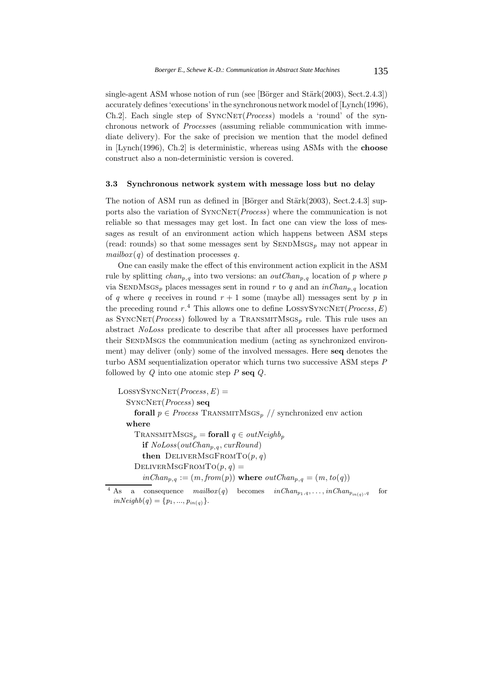single-agent ASM whose notion of run (see [Börger and Stärk $(2003)$ , Sect.2.4.3]) accurately defines 'executions' in the synchronous network model of [Lynch(1996), Ch.2. Each single step of SYNCNET(*Process*) models a 'round' of the synchronous network of *Process*es (assuming reliable communication with immediate delivery). For the sake of precision we mention that the model defined in [Lynch(1996), Ch.2] is deterministic, whereas using ASMs with the **choose** construct also a non-deterministic version is covered.

### **3.3 Synchronous network system with message loss but no delay**

The notion of ASM run as defined in [Börger and Stärk $(2003)$ , Sect.2.4.3] supports also the variation of  $\text{SYNCNET}(Process)$  where the communication is not reliable so that messages may get lost. In fact one can view the loss of messages as result of an environment action which happens between ASM steps (read: rounds) so that some messages sent by  $\text{SENDMSGS}_p$  may not appear in  $mailbox(q)$  of destination processes *q*.

One can easily make the effect of this environment action explicit in the ASM rule by splitting  $chan_{p,q}$  into two versions: an  $outChan_{p,q}$  location of *p* where *p* via SENDMSGS<sub>p</sub> places messages sent in round r to q and an  $inChar_{p,q}$  location of *q* where *q* receives in round  $r + 1$  some (maybe all) messages sent by *p* in the preceding round  $r^4$ . This allows one to define LOSSYSYNCNET(*Process*, *E*) as  $SyncNET(Process)$  followed by a TRANSMITMSGS<sub>p</sub> rule. This rule uses an abstract *NoLoss* predicate to describe that after all processes have performed their SendMsgs the communication medium (acting as synchronized environment) may deliver (only) some of the involved messages. Here **seq** denotes the turbo ASM sequentialization operator which turns two successive ASM steps *P* followed by *Q* into one atomic step *P* **seq** *Q*.

 $LossYSYNCNET(Process, E) =$ SyncNet(*Process*) **seq forall**  $p \in Process$  TRANSMITMSGS<sub>p</sub> // synchronized env action **where**  $ext{TransmittMsgs}_p = \text{for all } q \in outNeighb_p$ **if**  $NoLoss(outChan_{p,q}, curRound)$ **then** DELIVERMSGFROMTO $(p, q)$ DELIVERMSGFROMTO $(p, q)$  =  $in Chan_{p,q} := (m, from(p))$  where  $outChan_{p,q} = (m, to(q))$ 

<sup>&</sup>lt;sup>4</sup> As a consequence  $mailbox(q)$  becomes  $inChan_{p_1,q}, \ldots, inChan_{p_{in(q)},q}$  for  $inNeighbour( q) = \{p_1, ..., p_{in(q)}\}.$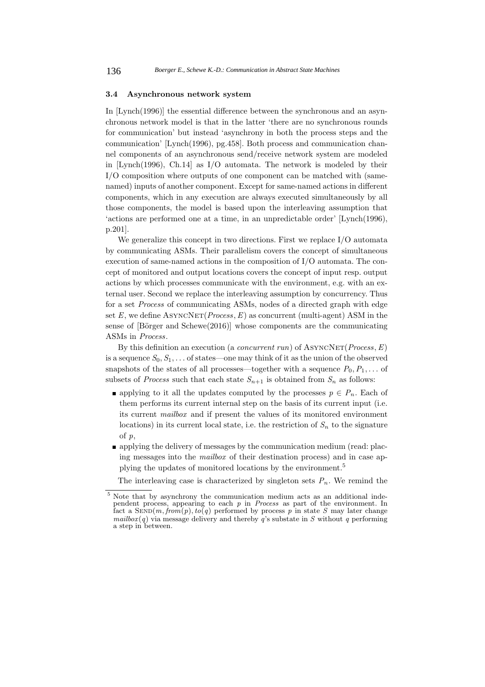#### **3.4 Asynchronous network system**

In [Lynch(1996)] the essential difference between the synchronous and an asynchronous network model is that in the latter 'there are no synchronous rounds for communication' but instead 'asynchrony in both the process steps and the communication' [Lynch(1996), pg.458]. Both process and communication channel components of an asynchronous send/receive network system are modeled in [Lynch(1996), Ch.14] as I/O automata. The network is modeled by their I/O composition where outputs of one component can be matched with (samenamed) inputs of another component. Except for same-named actions in different components, which in any execution are always executed simultaneously by all those components, the model is based upon the interleaving assumption that 'actions are performed one at a time, in an unpredictable order' [Lynch(1996), p.201].

We generalize this concept in two directions. First we replace I/O automata by communicating ASMs. Their parallelism covers the concept of simultaneous execution of same-named actions in the composition of I/O automata. The concept of monitored and output locations covers the concept of input resp. output actions by which processes communicate with the environment, e.g. with an external user. Second we replace the interleaving assumption by concurrency. Thus for a set *Process* of communicating ASMs, nodes of a directed graph with edge set  $E$ , we define  $\text{ASYNCNET}(Process, E)$  as concurrent (multi-agent) ASM in the sense of  $[B\ddot{\text{o}}rger \text{ and } \text{Schewe}(2016)]$  whose components are the communicating ASMs in *Process*.

By this definition an execution (a *concurrent run*) of ASYNCNET(*Process*, *E*) is a sequence  $S_0, S_1, \ldots$  of states—one may think of it as the union of the observed snapshots of the states of all processes—together with a sequence  $P_0, P_1, \ldots$  of subsets of *Process* such that each state  $S_{n+1}$  is obtained from  $S_n$  as follows:

- **a** applying to it all the updates computed by the processes  $p \in P_n$ . Each of them performs its current internal step on the basis of its current input (i.e. its current *mailbox* and if present the values of its monitored environment locations) in its current local state, i.e. the restriction of  $S_n$  to the signature of *p*,
- applying the delivery of messages by the communication medium (read: placing messages into the *mailbox* of their destination process) and in case applying the updates of monitored locations by the environment.<sup>5</sup>

The interleaving case is characterized by singleton sets  $P_n$ . We remind the

<sup>5</sup> Note that by asynchrony the communication medium acts as an additional independent process, appearing to each *p* in *Process* as part of the environment. In fact a  $\text{SEND}(m, \text{from}(p), \text{to}(q))$  performed by process p in state S may later change *mailbox*( $q$ ) via message delivery and thereby  $q$ 's substate in  $S$  without  $q$  performing a step in between.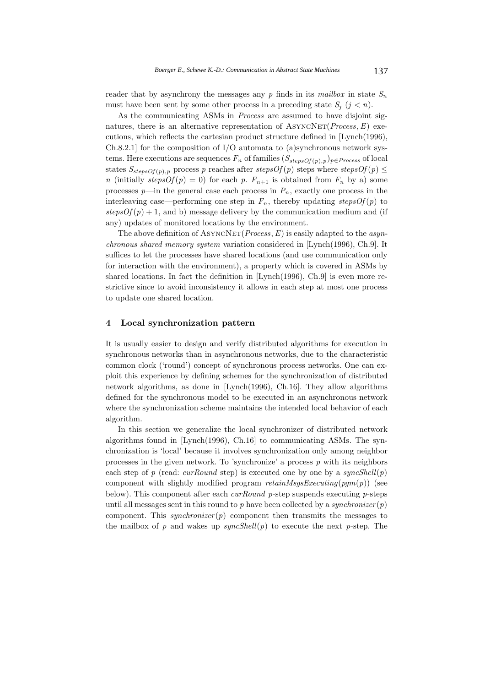reader that by asynchrony the messages any  $p$  finds in its *mailbox* in state  $S_n$ must have been sent by some other process in a preceding state  $S_i$  ( $j < n$ ).

As the communicating ASMs in *Process* are assumed to have disjoint signatures, there is an alternative representation of  $A$ syncNe $T(Process, E)$  executions, which reflects the cartesian product structure defined in [Lynch(1996), Ch.8.2.1] for the composition of  $I/O$  automata to (a)synchronous network systems. Here executions are sequences  $F_n$  of families  $(S_{stepsOf(p), p})_{p \in Process}$  of local states  $S_{stepsOf(p),p}$  process *p* reaches after  $stepsOf(p)$  steps where  $stepsOf(p)$ *n* (initially *stepsOf* (*p*) = 0) for each *p*.  $F_{n+1}$  is obtained from  $F_n$  by a) some processes  $p$ —in the general case each process in  $P_n$ , exactly one process in the interleaving case—performing one step in  $F_n$ , thereby updating *stepsOf(p)* to  $stepsOf(p) + 1$ , and b) message delivery by the communication medium and (if any) updates of monitored locations by the environment.

The above definition of ASYNCNET(*Process*, *E*) is easily adapted to the *asynchronous shared memory system* variation considered in [Lynch(1996), Ch.9]. It suffices to let the processes have shared locations (and use communication only for interaction with the environment), a property which is covered in ASMs by shared locations. In fact the definition in [Lynch(1996), Ch.9] is even more restrictive since to avoid inconsistency it allows in each step at most one process to update one shared location.

# **4 Local synchronization pattern**

It is usually easier to design and verify distributed algorithms for execution in synchronous networks than in asynchronous networks, due to the characteristic common clock ('round') concept of synchronous process networks. One can exploit this experience by defining schemes for the synchronization of distributed network algorithms, as done in [Lynch(1996), Ch.16]. They allow algorithms defined for the synchronous model to be executed in an asynchronous network where the synchronization scheme maintains the intended local behavior of each algorithm.

In this section we generalize the local synchronizer of distributed network algorithms found in [Lynch(1996), Ch.16] to communicating ASMs. The synchronization is 'local' because it involves synchronization only among neighbor processes in the given network. To 'synchronize' a process *p* with its neighbors each step of *p* (read: *curRound* step) is executed one by one by a *syncShell*(*p*) component with slightly modified program *retainMsgsExecuting*(*pgm*(*p*)) (see below). This component after each *curRound p*-step suspends executing *p*-steps until all messages sent in this round to  $p$  have been collected by a *synchronizer*  $(p)$ component. This *synchronizer* ( $p$ ) component then transmits the messages to the mailbox of  $p$  and wakes up  $syncShell(p)$  to execute the next  $p$ -step. The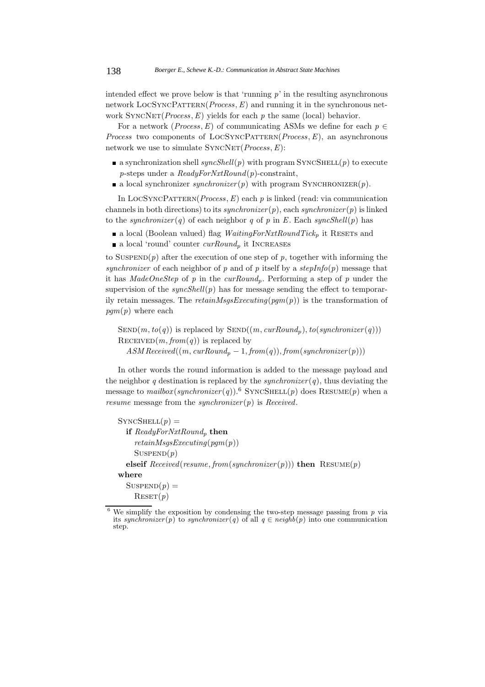intended effect we prove below is that 'running  $p$ ' in the resulting asynchronous network LOCSYNCPATTERN(*Process*, *E*) and running it in the synchronous network  $SyncNET(Process, E)$  yields for each  $p$  the same (local) behavior.

For a network (*Process*, *E*) of communicating ASMs we define for each  $p \in$ *Process* two components of LOCSYNCPATTERN(*Process*,*E*), an asynchronous network we use to simulate  $\text{SYNCNET}(Process, E)$ :

- **a** synchronization shell *syncShell*(*p*) with program SYNCSHELL(*p*) to execute *p*-steps under a *ReadyForNxtRound*(*p*)-constraint,
- a local synchronizer *synchronizer*( $p$ ) with program SYNCHRONIZER( $p$ ).

In LOCSYNCPATTERN( $Process, E$ ) each  $p$  is linked (read: via communication channels in both directions) to its *synchronizer*( $p$ ), each *synchronizer*( $p$ ) is linked to the *synchronizer* (*q*) of each neighbor *q* of *p* in *E*. Each *syncShell*(*p*) has

- **a** local (Boolean valued) flag *WaitingForNxtRoundTick<sub>p</sub>* it RESETs and
- a local 'round' counter  $\text{curRound}_p$  it INCREASES

to SUSPEND $(p)$  after the execution of one step of  $p$ , together with informing the *synchronizer* of each neighbor of *p* and of *p* itself by a  $stepInfo(p)$  message that it has *MadeOneStep* of *p* in the *curRoundp*. Performing a step of *p* under the supervision of the  $syncShell(p)$  has for message sending the effect to temporarily retain messages. The *retainMsgsExecuting*(*pgm*(*p*)) is the transformation of *pgm*(*p*) where each

 $\text{SEND}(m, to(q))$  is replaced by  $\text{SEND}((m, \text{curRound}_p), \text{ to }(\text{supersonizer}(q)))$  $RECEIVED(m, from(q))$  is replaced by  $ASM$   $Received((m, \text{curRound}_p - 1, \text{from}(q)), \text{from}(synchronized(p)))$ 

In other words the round information is added to the message payload and the neighbor *q* destination is replaced by the *synchronizer* (*q*), thus deviating the message to  $mailbox(synchronous(rq))$ .<sup>6</sup> SYNCSHELL(*p*) does RESUME(*p*) when a *resume* message from the *synchronizer* (*p*) is *Received*.

```
SYNCSHEL(p) =if ReadyForNxtRoundp then
    retainMsgsExecuting(pgm(p))
    SUSPEND(p)elseif Received(resume, from(synchronizer(p))) then RESULT(p)where
  SUSPEND(p) =\text{REST}(p)
```
 $6$  We simplify the exposition by condensing the two-step message passing from  $p$  via its *synchronizer*(*p*) to *synchronizer*(*q*) of all  $q \in \text{neighb}(p)$  into one communication step.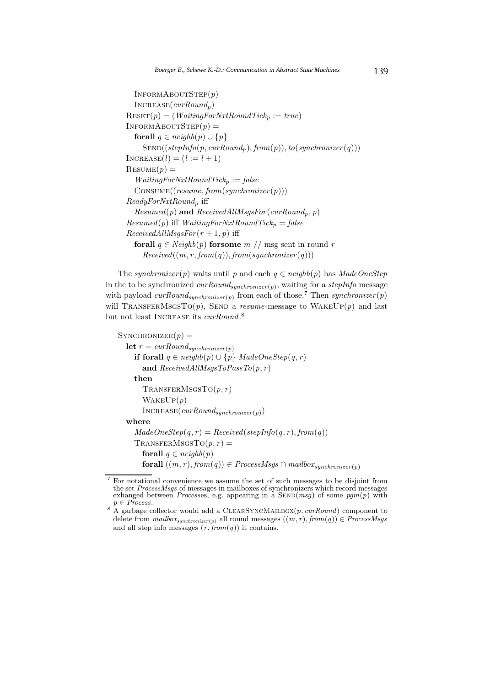```
InformAboutStep(p)
  Increase(curRoundp)
\text{REST}(p) = (WaitingForNxtRoundTick_p := true)INFORMABOUTSTEP(p) =forall q \in \text{neighbour}(p) \cup \{p\}SEND((stepInfo(p, curRound_p), from(p)), to (synchronizer(q)))INCREASE(l)=(l := l + 1)RESULT(p) =WaitingForNxtRoundTickp := false
  Consume((resume, from(synchronizer (p)))
ReadyForNxtRoundp iff
  Resumed(p) and ReceivedAllMsgsFor(curRound_p, p)Resumed(p) iff WaitingForNxtRoundTick_p = falseReceivedAllMsgsFor(r+1, p) iff
  forall q \in \text{Neighbour}(p) for some m \text{ // msg sent in round } rReceived((m, r, from(q)), from(synchronizer(q)))
```
The *synchronizer*(*p*) waits until *p* and each  $q \in \text{neighbor}(p)$  has  $\text{MadeOneStep}$ in the to be synchronized *curRoundsynchronizer*(*p*), waiting for a *stepInfo* message with payload  $\text{curRound}_{\text{synchronizer}}(p)$  from each of those.<sup>7</sup> Then  $\text{synchronizer}(p)$ will TRANSFERMSGSTO $(p)$ , SEND a *resume*-message to WAKEUP $(p)$  and last but not least INCREASE its *curRound*.<sup>8</sup>

```
SYNCHRONIZED(p) =let r = \text{curl}Round<sub>synchronizer(p)</sub>
    if forall q ∈ neighbor(p) ∪ {p} MadeOneStep(q, r)
       and ReceivedAllMsgsToPassTo(p, r )
    then
       ext{TransFERMSGSTO}(p, r)WakeUp(p)
       Increase(curRoundsynchronizer(p))
  where
    MadeOneStep(q, r) = Received(stepInfo(q, r), from(q))ext{TransFERMSGSTO}(p, r) =forall q \in \text{neighbour}(p)forall ((m, r), from(q)) \in ProcessMsgs \cap mailbox_{symchronizer(p)}
```
<sup>7</sup> For notational convenience we assume the set of such messages to be disjoint from the set *ProcessMsgs* of messages in mailboxes of synchronizers which record messages exhanged between *Processes*, e.g. appearing in a SEND( $msg$ ) of some  $pgm(p)$  with  $p \in Process$ .

<sup>&</sup>lt;sup>8</sup> A garbage collector would add a CLEARSYNCMAILBOX(*p, curRound*) component to delete from  $mailbox_{surchronic}(p)$  all round messages  $((m, r), from(q)) \in ProcessMsgs$ and all step info messages  $(r, from(q))$  it contains.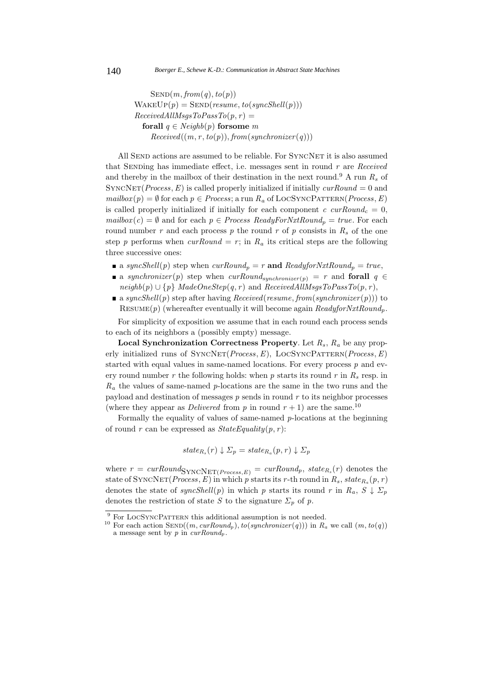$SEND(m, from(q), to(p))$  $W_{\text{AKEUP}}(p) = \text{SEND}( \text{resume}, \text{to}(\text{syncShell}(p)))$  $ReceivedAllMsgsToPassTo(p, r) =$ **forall**  $q \in Neighb(p)$  **for some** *m*  $Received((m, r, to(p)), from(synchronizer(q)))$ 

All SEND actions are assumed to be reliable. For SYNCNET it is also assumed that Sending has immediate effect, i.e. messages sent in round *r* are *Received* and thereby in the mailbox of their destination in the next round.<sup>9</sup> A run  $R_s$  of SYNCNET(*Process*,  $E$ ) is called properly initialized if initially  $\textit{curRound} = 0$  and  $mailbox(p) = \emptyset$  for each  $p \in Process$ ; a run  $R_a$  of LOCSYNCPATTERN(*Process*, *E*) is called properly initialized if initially for each component  $c \, \text{curl}$  cur $\text{Round}_c = 0$ ,  $mailbox(c) = \emptyset$  and for each  $p \in Process$  *ReadyForNxtRound<sub>p</sub>* = *true*. For each round number  $r$  and each process  $p$  the round  $r$  of  $p$  consists in  $R_s$  of the one step *p* performs when  $\text{curl}$   $\text{curl}$  = *r*; in  $R_a$  its critical steps are the following three successive ones:

- a syncShell(p) step when  $curRound_p = r$  and  $ReadyforNxtRound_p = true$ ,
- a *synchronizer*(*p*) step when  $\text{curRound}_{\text{sumchronizer}(p)} = r$  and **forall**  $q \in$  $neighbour\{p\}$  *MadeOneStep*(*q*, *r*) and *ReceivedAllMsgsToPassTo*(*p*, *r*),
- a syncShell(p) step after having *Received*(*resume*, *from*(*synchronizer*(p))) to Resume(*p*) (whereafter eventually it will become again *ReadyforNxtRoundp*.

For simplicity of exposition we assume that in each round each process sends to each of its neighbors a (possibly empty) message.

**Local Synchronization Correctness Property**. Let *R<sup>s</sup>* , *R<sup>a</sup>* be any properly initialized runs of SyncNet(*Process*,*E*), LocSyncPattern(*Process*,*E*) started with equal values in same-named locations. For every process *p* and every round number *r* the following holds: when *p* starts its round *r* in *R<sup>s</sup>* resp. in *R<sup>a</sup>* the values of same-named *p*-locations are the same in the two runs and the payload and destination of messages *p* sends in round *r* to its neighbor processes (where they appear as *Delivered* from *p* in round  $r + 1$ ) are the same.<sup>10</sup>

Formally the equality of values of same-named *p*-locations at the beginning of round *r* can be expressed as  $StateEquality(p, r)$ :

$$
state_{R_s}(r) \downarrow \Sigma_p = state_{R_a}(p,r) \downarrow \Sigma_p
$$

where  $r = \text{curRound}_{\text{SYNCNET}(Process, E)} = \text{curRound}_p, \text{state}_{R_s}(r)$  denotes the state of SYNCNET(*Process*, *E*) in which *p* starts its *r*-th round in  $R_s$ ,  $state_{R_a}(p, r)$ denotes the state of  $syncShell(p)$  in which *p* starts its round *r* in  $R_a$ ,  $S \downarrow \Sigma_p$ denotes the restriction of state *S* to the signature  $\Sigma_p$  of *p*.

<sup>&</sup>lt;sup>9</sup> For LOCSYNCPATTERN this additional assumption is not needed.<br><sup>10</sup> For each action SEND((*m*, *curRound<sub>p</sub>*), *to*(*synchronizer*(*q*))) in  $R_a$  we call (*m*, *to*(*q*)) a message sent by *p* in *curRound<sup>p</sup>* .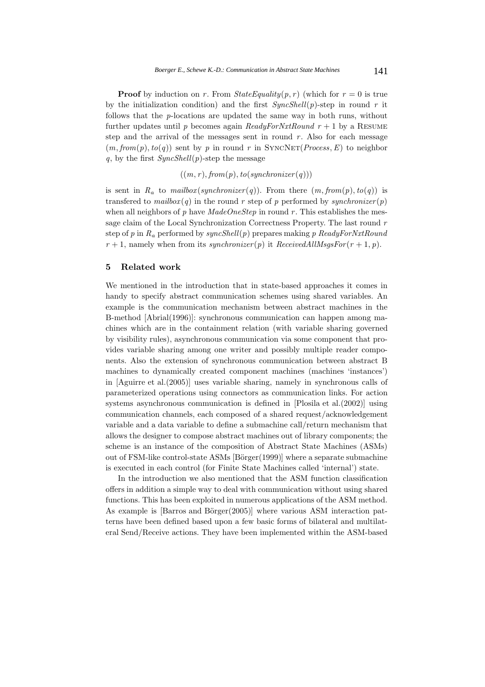**Proof** by induction on *r*. From  $StateEquality(p, r)$  (which for  $r = 0$  is true by the initialization condition) and the first  $\textit{SyncShell}(p)$ -step in round r it follows that the *p*-locations are updated the same way in both runs, without further updates until *p* becomes again *ReadyForNxtRound*  $r + 1$  by a RESUME step and the arrival of the messages sent in round  $r$ . Also for each message  $(m, from(p), to(q))$  sent by *p* in round *r* in SYNCNET(*Process*, *E*) to neighbor *q*, by the first *SyncShell*(*p*)-step the message

 $((m, r), from (p), to (synchronizer (q)))$ 

is sent in  $R_a$  to  $mailbox(synchronouser(q))$ . From there  $(m, from(p), to(q))$  is transferred to  $mailbox(q)$  in the round r step of p performed by *synchronizer*(p) when all neighbors of *p* have *MadeOneStep* in round *r*. This establishes the message claim of the Local Synchronization Correctness Property. The last round *r* step of *p* in *R<sup>a</sup>* performed by *syncShell*(*p*) prepares making *p ReadyForNxtRound*  $r+1$ , namely when from its *synchronizer*(*p*) it *ReceivedAllMsgsFor*( $r+1$ ,  $p$ ).

# **5 Related work**

We mentioned in the introduction that in state-based approaches it comes in handy to specify abstract communication schemes using shared variables. An example is the communication mechanism between abstract machines in the B-method [Abrial(1996)]: synchronous communication can happen among machines which are in the containment relation (with variable sharing governed by visibility rules), asynchronous communication via some component that provides variable sharing among one writer and possibly multiple reader components. Also the extension of synchronous communication between abstract B machines to dynamically created component machines (machines 'instances') in [Aguirre et al.(2005)] uses variable sharing, namely in synchronous calls of parameterized operations using connectors as communication links. For action systems asynchronous communication is defined in [Plosila et al.(2002)] using communication channels, each composed of a shared request/acknowledgement variable and a data variable to define a submachine call/return mechanism that allows the designer to compose abstract machines out of library components; the scheme is an instance of the composition of Abstract State Machines (ASMs) out of FSM-like control-state ASMs [Börger(1999)] where a separate submachine is executed in each control (for Finite State Machines called 'internal') state.

In the introduction we also mentioned that the ASM function classification offers in addition a simple way to deal with communication without using shared functions. This has been exploited in numerous applications of the ASM method. As example is  $[Barros and Börger(2005)]$  where various ASM interaction patterns have been defined based upon a few basic forms of bilateral and multilateral Send/Receive actions. They have been implemented within the ASM-based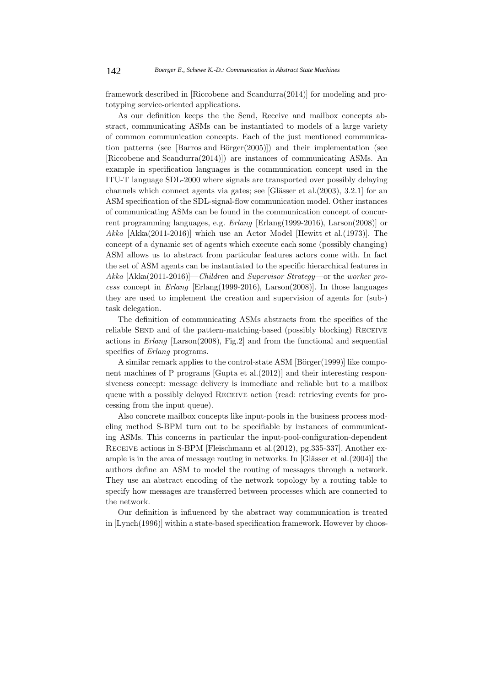framework described in [Riccobene and Scandurra(2014)] for modeling and prototyping service-oriented applications.

As our definition keeps the the Send, Receive and mailbox concepts abstract, communicating ASMs can be instantiated to models of a large variety of common communication concepts. Each of the just mentioned communication patterns (see [Barros and Börger $(2005)$ ]) and their implementation (see [Riccobene and Scandurra(2014)]) are instances of communicating ASMs. An example in specification languages is the communication concept used in the ITU-T language SDL-2000 where signals are transported over possibly delaying channels which connect agents via gates; see [Glässer et al. $(2003)$ , 3.2.1] for an ASM specification of the SDL-signal-flow communication model. Other instances of communicating ASMs can be found in the communication concept of concurrent programming languages, e.g. *Erlang* [Erlang(1999-2016), Larson(2008)] or *Akka* [Akka(2011-2016)] which use an Actor Model [Hewitt et al.(1973)]. The concept of a dynamic set of agents which execute each some (possibly changing) ASM allows us to abstract from particular features actors come with. In fact the set of ASM agents can be instantiated to the specific hierarchical features in *Akka* [Akka(2011-2016)]—*Children* and *Supervisor Strategy*—or the *worker process* concept in *Erlang* [Erlang(1999-2016), Larson(2008)]. In those languages they are used to implement the creation and supervision of agents for (sub-) task delegation.

The definition of communicating ASMs abstracts from the specifics of the reliable SEND and of the pattern-matching-based (possibly blocking) RECEIVE actions in *Erlang* [Larson(2008), Fig.2] and from the functional and sequential specifics of *Erlang* programs.

A similar remark applies to the control-state ASM  $[Bi\sigma(1999)]$  like component machines of P programs [Gupta et al.(2012)] and their interesting responsiveness concept: message delivery is immediate and reliable but to a mailbox queue with a possibly delayed Receive action (read: retrieving events for processing from the input queue).

Also concrete mailbox concepts like input-pools in the business process modeling method S-BPM turn out to be specifiable by instances of communicating ASMs. This concerns in particular the input-pool-configuration-dependent Receive actions in S-BPM [Fleischmann et al.(2012), pg.335-337]. Another example is in the area of message routing in networks. In [Glässer et al. $(2004)$ ] the authors define an ASM to model the routing of messages through a network. They use an abstract encoding of the network topology by a routing table to specify how messages are transferred between processes which are connected to the network.

Our definition is influenced by the abstract way communication is treated in [Lynch(1996)] within a state-based specification framework. However by choos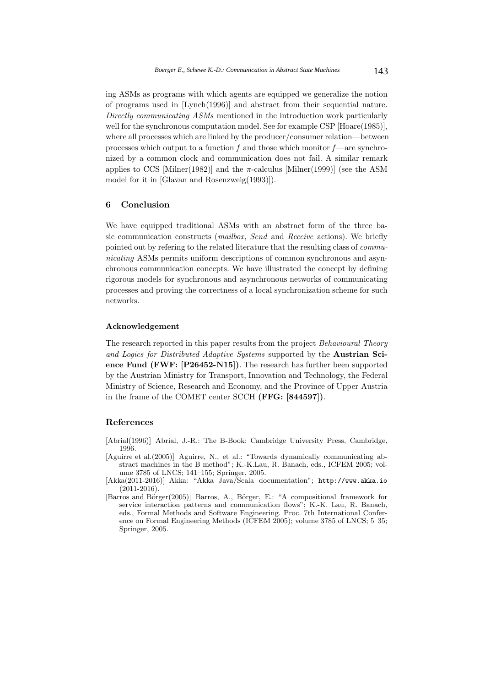ing ASMs as programs with which agents are equipped we generalize the notion of programs used in [Lynch(1996)] and abstract from their sequential nature. *Directly communicating ASMs* mentioned in the introduction work particularly well for the synchronous computation model. See for example CSP [Hoare(1985)], where all processes which are linked by the producer/consumer relation—between processes which output to a function *f* and those which monitor *f* —are synchronized by a common clock and communication does not fail. A similar remark applies to CCS [Milner(1982)] and the  $\pi$ -calculus [Milner(1999)] (see the ASM model for it in [Glavan and Rosenzweig(1993)]).

# **6 Conclusion**

We have equipped traditional ASMs with an abstract form of the three basic communication constructs (*mailbox*, *Send* and *Receive* actions). We briefly pointed out by refering to the related literature that the resulting class of *communicating* ASMs permits uniform descriptions of common synchronous and asynchronous communication concepts. We have illustrated the concept by defining rigorous models for synchronous and asynchronous networks of communicating processes and proving the correctness of a local synchronization scheme for such networks.

### **Acknowledgement**

The research reported in this paper results from the project *Behavioural Theory and Logics for Distributed Adaptive Systems* supported by the **Austrian Science Fund (FWF: [P26452-N15])**. The research has further been supported by the Austrian Ministry for Transport, Innovation and Technology, the Federal Ministry of Science, Research and Economy, and the Province of Upper Austria in the frame of the COMET center SCCH **(FFG: [844597])**.

# **References**

[Abrial(1996)] Abrial, J.-R.: The B-Book; Cambridge University Press, Cambridge, 1996.

- [Aguirre et al.(2005)] Aguirre, N., et al.: "Towards dynamically communicating abstract machines in the B method"; K.-K.Lau, R. Banach, eds., ICFEM 2005; volume 3785 of LNCS; 141–155; Springer, 2005.
- [Akka(2011-2016)] Akka: "Akka Java/Scala documentation"; http://www.akka.io (2011-2016).
- [Barros and Börger(2005)] Barros, A., Börger, E.: "A compositional framework for service interaction patterns and communication flows"; K.-K. Lau, R. Banach, eds., Formal Methods and Software Engineering. Proc. 7th International Conference on Formal Engineering Methods (ICFEM 2005); volume 3785 of LNCS; 5–35; Springer, 2005.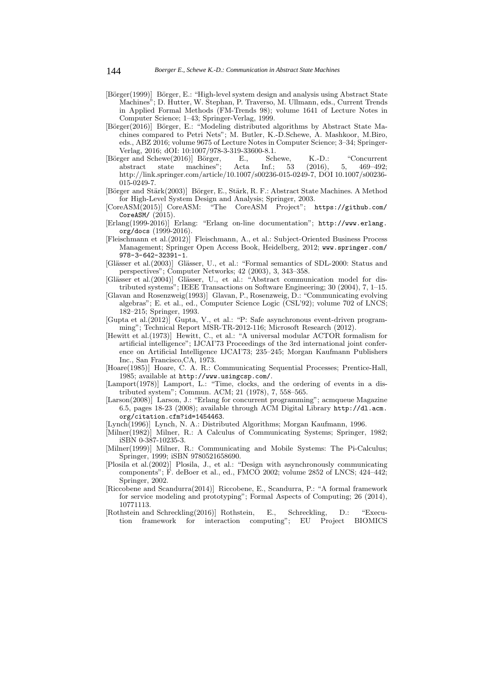- [Börger(1999)] Börger, E.: "High-level system design and analysis using Abstract State Machines"; D. Hutter, W. Stephan, P. Traverso, M. Ullmann, eds., Current Trends in Applied Formal Methods (FM-Trends 98); volume 1641 of Lecture Notes in Computer Science; 1–43; Springer-Verlag, 1999.
- [Börger(2016)] Börger, E.: "Modeling distributed algorithms by Abstract State Machines compared to Petri Nets"; M. Butler, K.-D.Schewe, A. Mashkoor, M.Biro, eds., ABZ 2016; volume 9675 of Lecture Notes in Computer Science; 3–34; Springer-Verlag, 2016; dOI: 10:1007/978-3-319-33600-8.1.
- [Börger and Schewe(2016)] Börger, E., Schewe, K.-D.: "Concurrent abstract state machines"; Acta Inf.; 53 (2016), 5, 469–492; abstract state machines"; Acta Inf.; 53 (2016), 5, 469–492; http://link.springer.com/article/10.1007/s00236-015-0249-7, DOI 10.1007/s00236- 015-0249-7.
- [Börger and Stärk(2003)] Börger, E., Stärk, R. F.: Abstract State Machines. A Method for High-Level System Design and Analysis; Springer, 2003.
- [CoreASM(2015)] CoreASM: "The CoreASM Project"; https://github.com/ CoreASM/ (2015).
- [Erlang(1999-2016)] Erlang: "Erlang on-line documentation"; http://www.erlang. org/docs (1999-2016).
- [Fleischmann et al.(2012)] Fleischmann, A., et al.: Subject-Oriented Business Process Management; Springer Open Access Book, Heidelberg, 2012; www.springer.com/ 978-3-642-32391-1.
- [Glässer et al.(2003)] Glässer, U., et al.: "Formal semantics of SDL-2000: Status and perspectives"; Computer Networks; 42 (2003), 3, 343–358.
- [Glässer et al.(2004)] Glässer, U., et al.: "Abstract communication model for distributed systems"; IEEE Transactions on Software Engineering; 30 (2004), 7, 1–15.
- [Glavan and Rosenzweig(1993)] Glavan, P., Rosenzweig, D.: "Communicating evolving algebras"; E. et al., ed., Computer Science Logic (CSL'92); volume 702 of LNCS; 182–215; Springer, 1993.
- $[G$ upta et al. $(2012)$ ] Gupta, V., et al.: "P: Safe asynchronous event-driven programming"; Technical Report MSR-TR-2012-116; Microsoft Research (2012).
- [Hewitt et al.(1973)] Hewitt, C., et al.: "A universal modular ACTOR formalism for artificial intelligence"; IJCAI'73 Proceedings of the 3rd international joint conference on Artificial Intelligence IJCAI'73; 235–245; Morgan Kaufmann Publishers Inc., San Francisco,CA, 1973.
- [Hoare(1985)] Hoare, C. A. R.: Communicating Sequential Processes; Prentice-Hall, 1985; available at http://www.usingcsp.com/.
- [Lamport(1978)] Lamport, L.: "Time, clocks, and the ordering of events in a distributed system"; Commun. ACM; 21 (1978), 7, 558–565.
- [Larson(2008)] Larson, J.: "Erlang for concurrent programming"; acmqueue Magazine 6.5, pages 18-23 (2008); available through ACM Digital Library http://dl.acm. org/citation.cfm?id=1454463.
- [Lynch(1996)] Lynch, N. A.: Distributed Algorithms; Morgan Kaufmann, 1996.
- [Milner(1982)] Milner, R.: A Calculus of Communicating Systems; Springer, 1982; iSBN 0-387-10235-3.
- [Milner(1999)] Milner, R.: Communicating and Mobile Systems: The Pi-Calculus; Springer, 1999; iSBN 9780521658690.
- [Plosila et al.(2002)] Plosila, J., et al.: "Design with asynchronously communicating components"; F. deBoer et al., ed., FMCO 2002; volume 2852 of LNCS; 424–442; Springer, 2002.
- [Riccobene and Scandurra(2014)] Riccobene, E., Scandurra, P.: "A formal framework for service modeling and prototyping"; Formal Aspects of Computing; 26 (2014), 10771113.
- [Rothstein and Schreckling(2016)] Rothstein, E., Schreckling, D.: "Execution framework for interaction computing"; EU Project BIOMICS